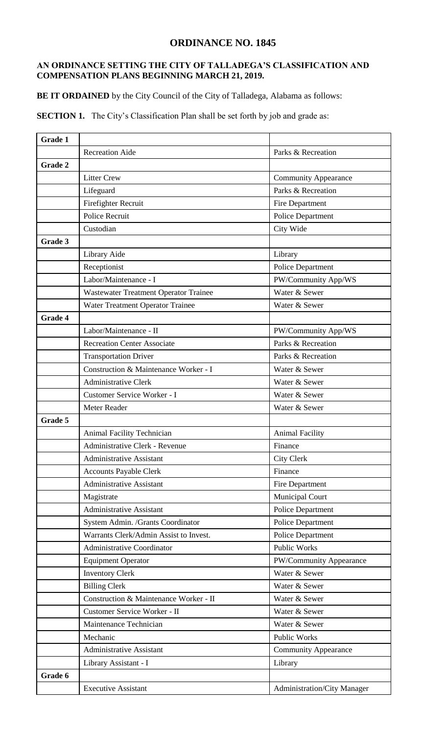## **ORDINANCE NO. 1845**

## **AN ORDINANCE SETTING THE CITY OF TALLADEGA'S CLASSIFICATION AND COMPENSATION PLANS BEGINNING MARCH 21, 2019.**

**BE IT ORDAINED** by the City Council of the City of Talladega, Alabama as follows:

**SECTION 1.** The City's Classification Plan shall be set forth by job and grade as:

| Grade 1 |                                                                |                             |  |  |  |  |  |
|---------|----------------------------------------------------------------|-----------------------------|--|--|--|--|--|
|         | <b>Recreation Aide</b><br>Parks & Recreation                   |                             |  |  |  |  |  |
| Grade 2 |                                                                |                             |  |  |  |  |  |
|         | <b>Litter Crew</b>                                             | <b>Community Appearance</b> |  |  |  |  |  |
|         | Lifeguard                                                      | Parks & Recreation          |  |  |  |  |  |
|         | Firefighter Recruit                                            | Fire Department             |  |  |  |  |  |
|         | <b>Police Recruit</b>                                          | Police Department           |  |  |  |  |  |
|         | Custodian                                                      | City Wide                   |  |  |  |  |  |
| Grade 3 |                                                                |                             |  |  |  |  |  |
|         | Library Aide                                                   | Library                     |  |  |  |  |  |
|         | Receptionist                                                   | Police Department           |  |  |  |  |  |
|         | Labor/Maintenance - I                                          | PW/Community App/WS         |  |  |  |  |  |
|         | Wastewater Treatment Operator Trainee                          | Water & Sewer               |  |  |  |  |  |
|         | Water Treatment Operator Trainee                               | Water & Sewer               |  |  |  |  |  |
| Grade 4 |                                                                |                             |  |  |  |  |  |
|         | Labor/Maintenance - II                                         | PW/Community App/WS         |  |  |  |  |  |
|         | <b>Recreation Center Associate</b>                             | Parks & Recreation          |  |  |  |  |  |
|         | <b>Transportation Driver</b>                                   | Parks & Recreation          |  |  |  |  |  |
|         | Construction & Maintenance Worker - I                          | Water & Sewer               |  |  |  |  |  |
|         | <b>Administrative Clerk</b>                                    | Water & Sewer               |  |  |  |  |  |
|         | Customer Service Worker - I                                    | Water & Sewer               |  |  |  |  |  |
|         | Meter Reader                                                   | Water & Sewer               |  |  |  |  |  |
| Grade 5 |                                                                |                             |  |  |  |  |  |
|         | Animal Facility Technician                                     | <b>Animal Facility</b>      |  |  |  |  |  |
|         | Administrative Clerk - Revenue                                 | Finance                     |  |  |  |  |  |
|         | <b>Administrative Assistant</b>                                | City Clerk                  |  |  |  |  |  |
|         | <b>Accounts Payable Clerk</b>                                  | Finance                     |  |  |  |  |  |
|         | <b>Administrative Assistant</b>                                | Fire Department             |  |  |  |  |  |
|         | Magistrate                                                     | Municipal Court             |  |  |  |  |  |
|         | <b>Administrative Assistant</b>                                | <b>Police Department</b>    |  |  |  |  |  |
|         | System Admin. /Grants Coordinator                              | Police Department           |  |  |  |  |  |
|         | Warrants Clerk/Admin Assist to Invest.                         | Police Department           |  |  |  |  |  |
|         | Administrative Coordinator                                     | <b>Public Works</b>         |  |  |  |  |  |
|         | <b>Equipment Operator</b>                                      | PW/Community Appearance     |  |  |  |  |  |
|         | <b>Inventory Clerk</b>                                         | Water & Sewer               |  |  |  |  |  |
|         | <b>Billing Clerk</b>                                           | Water & Sewer               |  |  |  |  |  |
|         | Construction & Maintenance Worker - II                         | Water & Sewer               |  |  |  |  |  |
|         | Customer Service Worker - II                                   | Water & Sewer               |  |  |  |  |  |
|         | Maintenance Technician                                         | Water & Sewer               |  |  |  |  |  |
|         | Mechanic<br>Public Works                                       |                             |  |  |  |  |  |
|         | <b>Administrative Assistant</b><br><b>Community Appearance</b> |                             |  |  |  |  |  |
|         | Library Assistant - I                                          | Library                     |  |  |  |  |  |
| Grade 6 |                                                                |                             |  |  |  |  |  |
|         | <b>Executive Assistant</b>                                     | Administration/City Manager |  |  |  |  |  |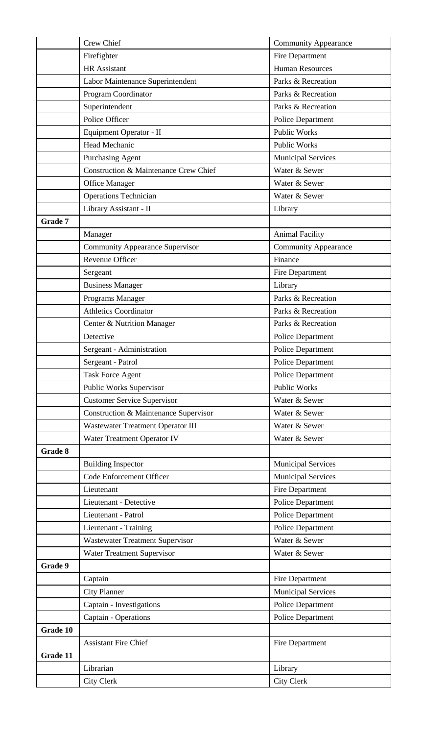|          | <b>Crew Chief</b><br><b>Community Appearance</b> |                             |  |  |  |  |  |
|----------|--------------------------------------------------|-----------------------------|--|--|--|--|--|
|          | Firefighter                                      | Fire Department             |  |  |  |  |  |
|          | <b>HR</b> Assistant                              | <b>Human Resources</b>      |  |  |  |  |  |
|          | Labor Maintenance Superintendent                 | Parks & Recreation          |  |  |  |  |  |
|          | Program Coordinator                              | Parks & Recreation          |  |  |  |  |  |
|          | Superintendent                                   | Parks & Recreation          |  |  |  |  |  |
|          | Police Officer                                   | Police Department           |  |  |  |  |  |
|          | Equipment Operator - II                          | <b>Public Works</b>         |  |  |  |  |  |
|          | Head Mechanic                                    | <b>Public Works</b>         |  |  |  |  |  |
|          | <b>Purchasing Agent</b>                          | <b>Municipal Services</b>   |  |  |  |  |  |
|          | Construction & Maintenance Crew Chief            | Water & Sewer               |  |  |  |  |  |
|          | Office Manager                                   | Water & Sewer               |  |  |  |  |  |
|          | <b>Operations Technician</b>                     | Water & Sewer               |  |  |  |  |  |
|          | Library Assistant - II                           | Library                     |  |  |  |  |  |
| Grade 7  |                                                  |                             |  |  |  |  |  |
|          | Manager                                          | <b>Animal Facility</b>      |  |  |  |  |  |
|          | <b>Community Appearance Supervisor</b>           | <b>Community Appearance</b> |  |  |  |  |  |
|          | Revenue Officer                                  | Finance                     |  |  |  |  |  |
|          | Sergeant                                         | Fire Department             |  |  |  |  |  |
|          | <b>Business Manager</b>                          | Library                     |  |  |  |  |  |
|          | Programs Manager                                 | Parks & Recreation          |  |  |  |  |  |
|          | <b>Athletics Coordinator</b>                     | Parks & Recreation          |  |  |  |  |  |
|          | Center & Nutrition Manager                       | Parks & Recreation          |  |  |  |  |  |
|          | Detective                                        | Police Department           |  |  |  |  |  |
|          | Sergeant - Administration                        | Police Department           |  |  |  |  |  |
|          | Sergeant - Patrol                                | Police Department           |  |  |  |  |  |
|          | <b>Task Force Agent</b>                          | Police Department           |  |  |  |  |  |
|          | Public Works Supervisor                          | <b>Public Works</b>         |  |  |  |  |  |
|          | <b>Customer Service Supervisor</b>               | Water & Sewer               |  |  |  |  |  |
|          | Construction & Maintenance Supervisor            | Water & Sewer               |  |  |  |  |  |
|          | Wastewater Treatment Operator III                | Water & Sewer               |  |  |  |  |  |
|          | Water Treatment Operator IV                      | Water & Sewer               |  |  |  |  |  |
| Grade 8  |                                                  |                             |  |  |  |  |  |
|          | <b>Building Inspector</b>                        | <b>Municipal Services</b>   |  |  |  |  |  |
|          | Code Enforcement Officer                         | <b>Municipal Services</b>   |  |  |  |  |  |
|          | Lieutenant                                       | Fire Department             |  |  |  |  |  |
|          | Lieutenant - Detective                           | Police Department           |  |  |  |  |  |
|          | Lieutenant - Patrol                              | Police Department           |  |  |  |  |  |
|          | Lieutenant - Training                            | Police Department           |  |  |  |  |  |
|          | <b>Wastewater Treatment Supervisor</b>           | Water & Sewer               |  |  |  |  |  |
|          | Water Treatment Supervisor                       | Water & Sewer               |  |  |  |  |  |
| Grade 9  |                                                  |                             |  |  |  |  |  |
|          | Captain                                          | Fire Department             |  |  |  |  |  |
|          | <b>City Planner</b>                              | <b>Municipal Services</b>   |  |  |  |  |  |
|          | Captain - Investigations                         | Police Department           |  |  |  |  |  |
|          | Captain - Operations                             | Police Department           |  |  |  |  |  |
| Grade 10 |                                                  |                             |  |  |  |  |  |
|          | <b>Assistant Fire Chief</b>                      | Fire Department             |  |  |  |  |  |
| Grade 11 |                                                  |                             |  |  |  |  |  |
|          | Librarian<br>Library                             |                             |  |  |  |  |  |
|          | City Clerk                                       | City Clerk                  |  |  |  |  |  |